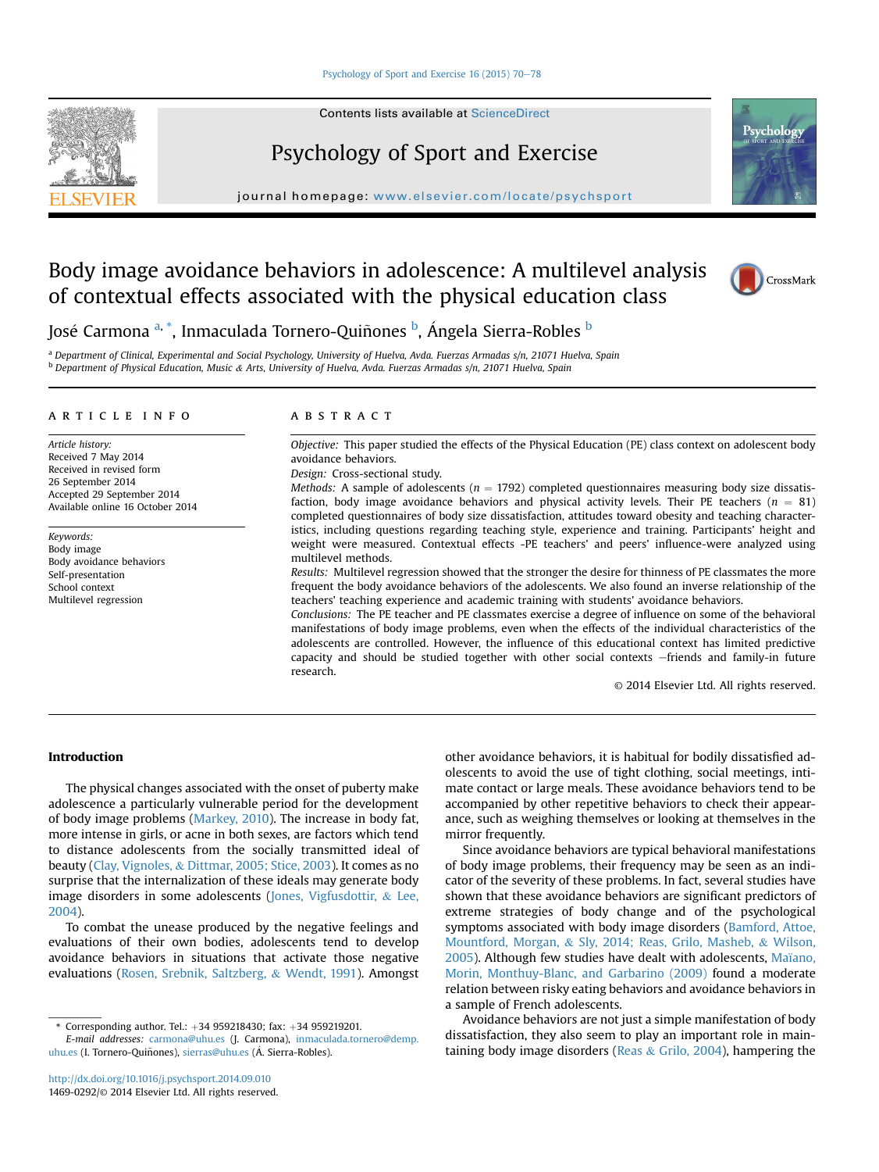#### [Psychology of Sport and Exercise 16 \(2015\) 70](http://dx.doi.org/10.1016/j.psychsport.2014.09.010)-[78](http://dx.doi.org/10.1016/j.psychsport.2014.09.010)

Contents lists available at ScienceDirect

# Psychology of Sport and Exercise

journal home page: www.elsevier.com/locate/psychiate/psychiate/psychiate/psychiate/psychiate/psychiate/psychiate/psychiate/psychiate/psychiate/psychiate/psychiate/psychiate/psychiate/psychiate/psychiate/psychiate/psychiat

# Body image avoidance behaviors in adolescence: A multilevel analysis of contextual effects associated with the physical education class



Psycholc

José Carmona <sup>a, \*</sup>, Inmaculada Tornero-Quiñones <sup>b</sup>, Ángela Sierra-Robles <sup>b</sup>

a Department of Clinical, Experimental and Social Psychology, University of Huelva, Avda. Fuerzas Armadas s/n, 21071 Huelva, Spain <sup>b</sup> Department of Physical Education, Music & Arts, University of Huelva, Avda. Fuerzas Armadas s/n, 21071 Huelva, Spain

#### article info

Article history: Received 7 May 2014 Received in revised form 26 September 2014 Accepted 29 September 2014 Available online 16 October 2014

Keywords: Body image Body avoidance behaviors Self-presentation School context Multilevel regression

## ABSTRACT

Objective: This paper studied the effects of the Physical Education (PE) class context on adolescent body avoidance behaviors.

Design: Cross-sectional study.

Methods: A sample of adolescents ( $n = 1792$ ) completed questionnaires measuring body size dissatisfaction, body image avoidance behaviors and physical activity levels. Their PE teachers ( $n = 81$ ) completed questionnaires of body size dissatisfaction, attitudes toward obesity and teaching characteristics, including questions regarding teaching style, experience and training. Participants' height and weight were measured. Contextual effects -PE teachers' and peers' influence-were analyzed using multilevel methods.

Results: Multilevel regression showed that the stronger the desire for thinness of PE classmates the more frequent the body avoidance behaviors of the adolescents. We also found an inverse relationship of the teachers' teaching experience and academic training with students' avoidance behaviors.

Conclusions: The PE teacher and PE classmates exercise a degree of influence on some of the behavioral manifestations of body image problems, even when the effects of the individual characteristics of the adolescents are controlled. However, the influence of this educational context has limited predictive capacity and should be studied together with other social contexts -friends and family-in future research.

© 2014 Elsevier Ltd. All rights reserved.

# Introduction

The physical changes associated with the onset of puberty make adolescence a particularly vulnerable period for the development of body image problems (Markey, 2010). The increase in body fat, more intense in girls, or acne in both sexes, are factors which tend to distance adolescents from the socially transmitted ideal of beauty (Clay, Vignoles, & Dittmar, 2005; Stice, 2003). It comes as no surprise that the internalization of these ideals may generate body image disorders in some adolescents (Jones, Vigfusdottir, & Lee, 2004).

To combat the unease produced by the negative feelings and evaluations of their own bodies, adolescents tend to develop avoidance behaviors in situations that activate those negative evaluations (Rosen, Srebnik, Saltzberg, & Wendt, 1991). Amongst other avoidance behaviors, it is habitual for bodily dissatisfied adolescents to avoid the use of tight clothing, social meetings, intimate contact or large meals. These avoidance behaviors tend to be accompanied by other repetitive behaviors to check their appearance, such as weighing themselves or looking at themselves in the mirror frequently.

Since avoidance behaviors are typical behavioral manifestations of body image problems, their frequency may be seen as an indicator of the severity of these problems. In fact, several studies have shown that these avoidance behaviors are significant predictors of extreme strategies of body change and of the psychological symptoms associated with body image disorders (Bamford, Attoe, Mountford, Morgan, & Sly, 2014; Reas, Grilo, Masheb, & Wilson, 2005). Although few studies have dealt with adolescents, Maïano, Morin, Monthuy-Blanc, and Garbarino (2009) found a moderate relation between risky eating behaviors and avoidance behaviors in a sample of French adolescents.

Avoidance behaviors are not just a simple manifestation of body dissatisfaction, they also seem to play an important role in maintaining body image disorders (Reas & Grilo, 2004), hampering the

<sup>\*</sup> Corresponding author. Tel.:  $+34$  959218430; fax:  $+34$  959219201.

E-mail addresses: [carmona@uhu.es](mailto:carmona@uhu.es) (J. Carmona), [inmaculada.tornero@demp.](mailto:inmaculada.tornero@demp.uhu.es) [uhu.es](mailto:inmaculada.tornero@demp.uhu.es) (I. Tornero-Quiñones), [sierras@uhu.es](mailto:sierras@uhu.es) (Á. Sierra-Robles).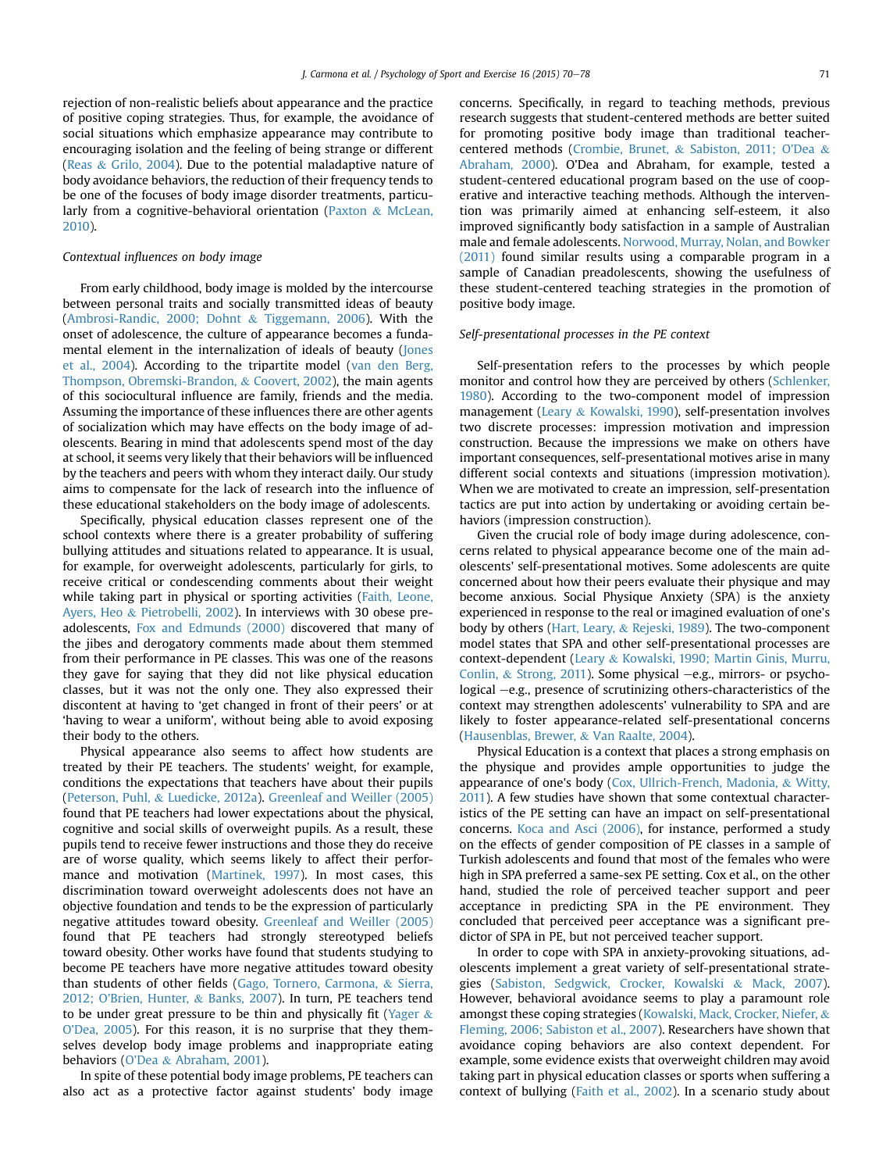rejection of non-realistic beliefs about appearance and the practice of positive coping strategies. Thus, for example, the avoidance of social situations which emphasize appearance may contribute to encouraging isolation and the feeling of being strange or different (Reas & Grilo, 2004). Due to the potential maladaptive nature of body avoidance behaviors, the reduction of their frequency tends to be one of the focuses of body image disorder treatments, particularly from a cognitive-behavioral orientation (Paxton & McLean, 2010).

### Contextual influences on body image

From early childhood, body image is molded by the intercourse between personal traits and socially transmitted ideas of beauty (Ambrosi-Randic, 2000; Dohnt & Tiggemann, 2006). With the onset of adolescence, the culture of appearance becomes a fundamental element in the internalization of ideals of beauty (Jones et al., 2004). According to the tripartite model (van den Berg, Thompson, Obremski-Brandon, & Coovert, 2002), the main agents of this sociocultural influence are family, friends and the media. Assuming the importance of these influences there are other agents of socialization which may have effects on the body image of adolescents. Bearing in mind that adolescents spend most of the day at school, it seems very likely that their behaviors will be influenced by the teachers and peers with whom they interact daily. Our study aims to compensate for the lack of research into the influence of these educational stakeholders on the body image of adolescents.

Specifically, physical education classes represent one of the school contexts where there is a greater probability of suffering bullying attitudes and situations related to appearance. It is usual, for example, for overweight adolescents, particularly for girls, to receive critical or condescending comments about their weight while taking part in physical or sporting activities (Faith, Leone, Ayers, Heo & Pietrobelli, 2002). In interviews with 30 obese preadolescents, Fox and Edmunds (2000) discovered that many of the jibes and derogatory comments made about them stemmed from their performance in PE classes. This was one of the reasons they gave for saying that they did not like physical education classes, but it was not the only one. They also expressed their discontent at having to 'get changed in front of their peers' or at 'having to wear a uniform', without being able to avoid exposing their body to the others.

Physical appearance also seems to affect how students are treated by their PE teachers. The students' weight, for example, conditions the expectations that teachers have about their pupils (Peterson, Puhl, & Luedicke, 2012a). Greenleaf and Weiller (2005) found that PE teachers had lower expectations about the physical, cognitive and social skills of overweight pupils. As a result, these pupils tend to receive fewer instructions and those they do receive are of worse quality, which seems likely to affect their performance and motivation (Martinek, 1997). In most cases, this discrimination toward overweight adolescents does not have an objective foundation and tends to be the expression of particularly negative attitudes toward obesity. Greenleaf and Weiller (2005) found that PE teachers had strongly stereotyped beliefs toward obesity. Other works have found that students studying to become PE teachers have more negative attitudes toward obesity than students of other fields (Gago, Tornero, Carmona, & Sierra, 2012; O'Brien, Hunter, & Banks, 2007). In turn, PE teachers tend to be under great pressure to be thin and physically fit (Yager  $\&$ O'Dea, 2005). For this reason, it is no surprise that they themselves develop body image problems and inappropriate eating behaviors (O'Dea & Abraham, 2001).

In spite of these potential body image problems, PE teachers can also act as a protective factor against students' body image concerns. Specifically, in regard to teaching methods, previous research suggests that student-centered methods are better suited for promoting positive body image than traditional teachercentered methods (Crombie, Brunet, & Sabiston, 2011; O'Dea & Abraham, 2000). O'Dea and Abraham, for example, tested a student-centered educational program based on the use of cooperative and interactive teaching methods. Although the intervention was primarily aimed at enhancing self-esteem, it also improved significantly body satisfaction in a sample of Australian male and female adolescents. Norwood, Murray, Nolan, and Bowker (2011) found similar results using a comparable program in a sample of Canadian preadolescents, showing the usefulness of these student-centered teaching strategies in the promotion of positive body image.

### Self-presentational processes in the PE context

Self-presentation refers to the processes by which people monitor and control how they are perceived by others (Schlenker, 1980). According to the two-component model of impression management (Leary & Kowalski, 1990), self-presentation involves two discrete processes: impression motivation and impression construction. Because the impressions we make on others have important consequences, self-presentational motives arise in many different social contexts and situations (impression motivation). When we are motivated to create an impression, self-presentation tactics are put into action by undertaking or avoiding certain behaviors (impression construction).

Given the crucial role of body image during adolescence, concerns related to physical appearance become one of the main adolescents' self-presentational motives. Some adolescents are quite concerned about how their peers evaluate their physique and may become anxious. Social Physique Anxiety (SPA) is the anxiety experienced in response to the real or imagined evaluation of one's body by others (Hart, Leary, & Rejeski, 1989). The two-component model states that SPA and other self-presentational processes are context-dependent (Leary & Kowalski, 1990; Martin Ginis, Murru, Conlin, & Strong, 2011). Some physical  $-e.g.,$  mirrors- or psychological  $-e.g.,$  presence of scrutinizing others-characteristics of the context may strengthen adolescents' vulnerability to SPA and are likely to foster appearance-related self-presentational concerns (Hausenblas, Brewer, & Van Raalte, 2004).

Physical Education is a context that places a strong emphasis on the physique and provides ample opportunities to judge the appearance of one's body (Cox, Ullrich-French, Madonia, & Witty, 2011). A few studies have shown that some contextual characteristics of the PE setting can have an impact on self-presentational concerns. Koca and Asci (2006), for instance, performed a study on the effects of gender composition of PE classes in a sample of Turkish adolescents and found that most of the females who were high in SPA preferred a same-sex PE setting. Cox et al., on the other hand, studied the role of perceived teacher support and peer acceptance in predicting SPA in the PE environment. They concluded that perceived peer acceptance was a significant predictor of SPA in PE, but not perceived teacher support.

In order to cope with SPA in anxiety-provoking situations, adolescents implement a great variety of self-presentational strategies (Sabiston, Sedgwick, Crocker, Kowalski & Mack, 2007). However, behavioral avoidance seems to play a paramount role amongst these coping strategies (Kowalski, Mack, Crocker, Niefer, & Fleming, 2006; Sabiston et al., 2007). Researchers have shown that avoidance coping behaviors are also context dependent. For example, some evidence exists that overweight children may avoid taking part in physical education classes or sports when suffering a context of bullying (Faith et al., 2002). In a scenario study about